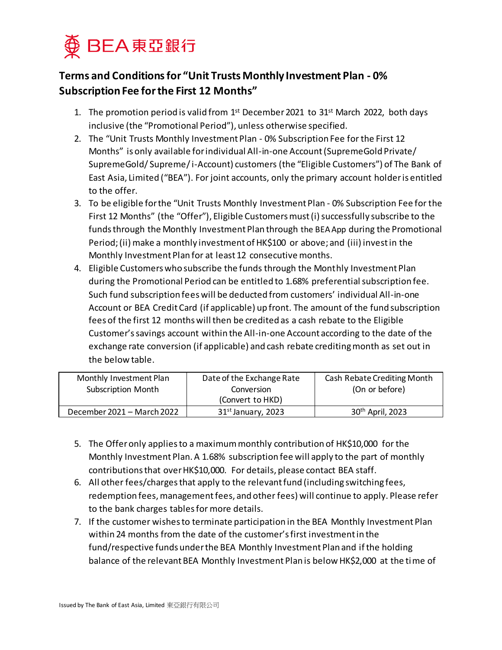

## **Terms and Conditions for "Unit Trusts Monthly Investment Plan - 0% Subscription Fee for the First 12 Months"**

- 1. The promotion period is valid from  $1<sup>st</sup>$  December 2021 to 31 $<sup>st</sup>$  March 2022, both days</sup> inclusive (the "Promotional Period"), unless otherwise specified.
- 2. The "Unit Trusts Monthly Investment Plan 0% Subscription Fee for the First 12 Months" is only available for individual All-in-one Account (SupremeGold Private/ SupremeGold/ Supreme/i-Account) customers (the "Eligible Customers") of The Bank of East Asia, Limited ("BEA"). For joint accounts, only the primary account holder is entitled to the offer.
- 3. To be eligible for the "Unit Trusts Monthly Investment Plan 0% Subscription Fee for the First 12 Months" (the "Offer"), Eligible Customers must (i) successfully subscribe to the funds through the Monthly Investment Plan through the BEA App during the Promotional Period; (ii) make a monthly investment of HK\$100 or above; and (iii) invest in the Monthly Investment Plan for at least 12 consecutive months.
- 4. Eligible Customers who subscribe the funds through the Monthly Investment Plan during the Promotional Period can be entitled to 1.68% preferential subscription fee. Such fund subscription fees will be deducted from customers' individual All-in-one Account or BEA Credit Card (if applicable) up front. The amount of the fund subscription fees of the first 12 months will then be credited as a cash rebate to the Eligible Customer's savings account within the All-in-one Account according to the date of the exchange rate conversion (if applicable) and cash rebate crediting month as set out in the below table.

| Monthly Investment Plan    | Date of the Exchange Rate | Cash Rebate Crediting Month |
|----------------------------|---------------------------|-----------------------------|
| <b>Subscription Month</b>  | Conversion                | (On or before)              |
|                            | (Convert to HKD)          |                             |
| December 2021 - March 2022 | $31st$ January, 2023      | 30th April, 2023            |

- 5. The Offer only applies to a maximum monthly contribution of HK\$10,000 for the Monthly Investment Plan. A 1.68% subscription fee will apply to the part of monthly contributions that over HK\$10,000. For details, please contact BEA staff.
- 6. All other fees/charges that apply to the relevant fund (including switching fees, redemption fees, management fees, and other fees) will continue to apply. Please refer to the bank charges tables for more details.
- 7. If the customer wishes to terminate participation in the BEA Monthly Investment Plan within 24 months from the date of the customer's first investment in the fund/respective funds under the BEA Monthly Investment Plan and if the holding balance of the relevant BEA Monthly Investment Plan is below HK\$2,000 at the time of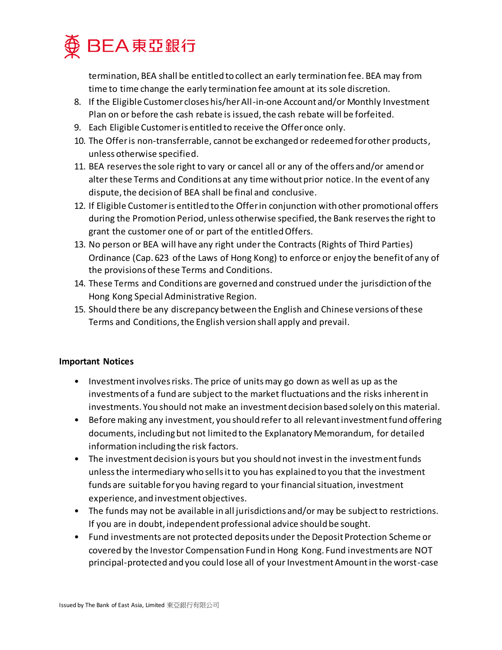

termination, BEA shall be entitled to collect an early termination fee. BEA may from time to time change the early termination fee amount at its sole discretion.

- 8. If the Eligible Customer closes his/her All-in-one Account and/or Monthly Investment Plan on or before the cash rebate is issued, the cash rebate will be forfeited.
- 9. Each Eligible Customer is entitled to receive the Offer once only.
- 10. The Offer is non-transferrable, cannot be exchanged or redeemed for other products, unless otherwise specified.
- 11. BEA reserves the sole right to vary or cancel all or any of the offers and/or amend or alter these Terms and Conditions at any time without prior notice. In the event of any dispute, the decision of BEA shall be final and conclusive.
- 12. If Eligible Customeris entitled to the Offer in conjunction with other promotional offers during the Promotion Period, unless otherwise specified, the Bank reserves the right to grant the customer one of or part of the entitled Offers.
- 13. No person or BEA will have any right under the Contracts (Rights of Third Parties) Ordinance (Cap. 623 of the Laws of Hong Kong) to enforce or enjoy the benefit of any of the provisions of these Terms and Conditions.
- 14. These Terms and Conditions are governed and construed under the jurisdiction of the Hong Kong Special Administrative Region.
- 15. Should there be any discrepancy between the English and Chinese versions of these Terms and Conditions, the English version shall apply and prevail.

## **Important Notices**

- Investment involves risks. The price of units may go down as well as up as the investments of a fund are subject to the market fluctuations and the risks inherent in investments. You should not make an investment decision based solely on this material.
- Before making any investment, you should refer to all relevant investment fund offering documents, including but not limited to the Explanatory Memorandum, for detailed information including the risk factors.
- The investment decision is yours but you should not invest in the investment funds unless the intermediary who sells it to you has explained to you that the investment funds are suitable for you having regard to your financial situation, investment experience, and investment objectives.
- The funds may not be available in all jurisdictions and/or may be subject to restrictions. If you are in doubt, independent professional advice should be sought.
- Fund investments are not protected deposits under the Deposit Protection Scheme or covered by the Investor Compensation Fund in Hong Kong. Fund investments are NOT principal-protected and you could lose all of your Investment Amount in the worst-case